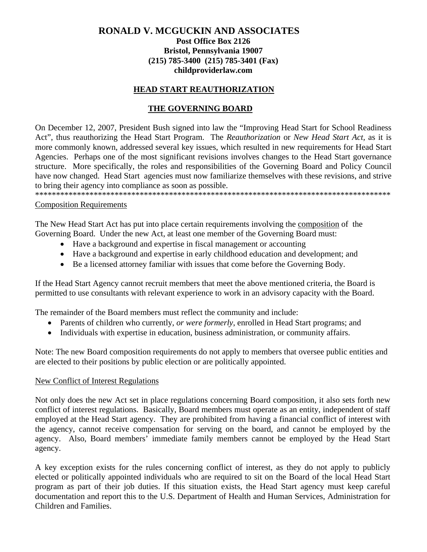# **RONALD V. MCGUCKIN AND ASSOCIATES**

#### **Post Office Box 2126 Bristol, Pennsylvania 19007 (215) 785-3400 (215) 785-3401 (Fax) childproviderlaw.com**

#### **HEAD START REAUTHORIZATION**

### **THE GOVERNING BOARD**

On December 12, 2007, President Bush signed into law the "Improving Head Start for School Readiness Act", thus reauthorizing the Head Start Program. The *Reauthorization* or *New Head Start Act,* as it is more commonly known, addressed several key issues, which resulted in new requirements for Head Start Agencies. Perhaps one of the most significant revisions involves changes to the Head Start governance structure. More specifically, the roles and responsibilities of the Governing Board and Policy Council have now changed. Head Start agencies must now familiarize themselves with these revisions, and strive to bring their agency into compliance as soon as possible.

\*\*\*\*\*\*\*\*\*\*\*\*\*\*\*\*\*\*\*\*\*\*\*\*\*\*\*\*\*\*\*\*\*\*\*\*\*\*\*\*\*\*\*\*\*\*\*\*\*\*\*\*\*\*\*\*\*\*\*\*\*\*\*\*\*\*\*\*\*\*\*\*\*\*\*\*\*\*\*\*\*\*\*\*\*

#### Composition Requirements

The New Head Start Act has put into place certain requirements involving the composition of the Governing Board. Under the new Act, at least one member of the Governing Board must:

- Have a background and expertise in fiscal management or accounting
- Have a background and expertise in early childhood education and development; and
- Be a licensed attorney familiar with issues that come before the Governing Body.

If the Head Start Agency cannot recruit members that meet the above mentioned criteria, the Board is permitted to use consultants with relevant experience to work in an advisory capacity with the Board.

The remainder of the Board members must reflect the community and include:

- Parents of children who currently, *or were formerly*, enrolled in Head Start programs; and
- Individuals with expertise in education, business administration, or community affairs.

Note: The new Board composition requirements do not apply to members that oversee public entities and are elected to their positions by public election or are politically appointed.

#### New Conflict of Interest Regulations

Not only does the new Act set in place regulations concerning Board composition, it also sets forth new conflict of interest regulations. Basically, Board members must operate as an entity, independent of staff employed at the Head Start agency. They are prohibited from having a financial conflict of interest with the agency, cannot receive compensation for serving on the board, and cannot be employed by the agency. Also, Board members' immediate family members cannot be employed by the Head Start agency.

A key exception exists for the rules concerning conflict of interest, as they do not apply to publicly elected or politically appointed individuals who are required to sit on the Board of the local Head Start program as part of their job duties. If this situation exists, the Head Start agency must keep careful documentation and report this to the U.S. Department of Health and Human Services, Administration for Children and Families.